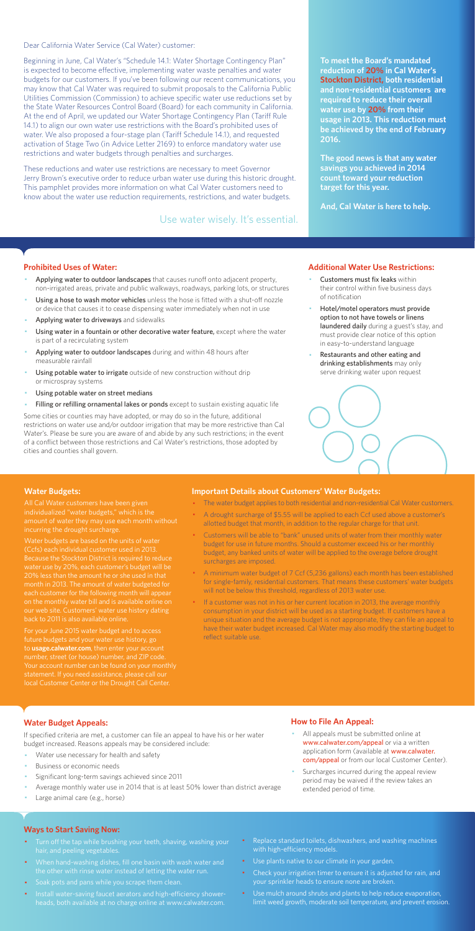Dear California Water Service (Cal Water) customer:

Beginning in June, Cal Water's "Schedule 14.1: Water Shortage Contingency Plan" is expected to become effective, implementing water waste penalties and water budgets for our customers. If you've been following our recent communications, you may know that Cal Water was required to submit proposals to the California Public Utilities Commission (Commission) to achieve specific water use reductions set by the State Water Resources Control Board (Board) for each community in California. At the end of April, we updated our Water Shortage Contingency Plan (Tariff Rule 14.1) to align our own water use restrictions with the Board's prohibited uses of water. We also proposed a four-stage plan (Tariff Schedule 14.1), and requested activation of Stage Two (in Advice Letter 2169) to enforce mandatory water use restrictions and water budgets through penalties and surcharges.

These reductions and water use restrictions are necessary to meet Governor Jerry Brown's executive order to reduce urban water use during this historic drought. This pamphlet provides more information on what Cal Water customers need to know about the water use reduction requirements, restrictions, and water budgets.

#### **Prohibited Uses of Water:**

- Applying water to outdoor landscapes that causes runoff onto adjacent property, non-irrigated areas, private and public walkways, roadways, parking lots, or structures
- Using a hose to wash motor vehicles unless the hose is fitted with a shut-off nozzle or device that causes it to cease dispensing water immediately when not in use
- Applying water to driveways and sidewalks
- Using water in a fountain or other decorative water feature, except where the water is part of a recirculating system
- Applying water to outdoor landscapes during and within 48 hours after measurable rainfall
- Using potable water to irrigate outside of new construction without drip or microspray systems
- Using potable water on street medians
- Filling or refilling ornamental lakes or ponds except to sustain existing aquatic life
- Customers must fix leaks within their control within five business days of notification
- Hotel/motel operators must provide option to not have towels or linens laundered daily during a guest's stay, and must provide clear notice of this option in easy-to-understand language
- Restaurants and other eating and drinking establishments may only serve drinking water upon request



- All appeals must be submitted online at www.calwater.com/appeal or via a written application form (available at www.calwater. com/appeal or from our local Customer Center).
- · Surcharges incurred during the appeal review period may be waived if the review takes an extended period of time.

Some cities or counties may have adopted, or may do so in the future, additional restrictions on water use and/or outdoor irrigation that may be more restrictive than Cal Water's. Please be sure you are aware of and abide by any such restrictions; in the event of a conflict between those restrictions and Cal Water's restrictions, those adopted by cities and counties shall govern.

- Turn off the tap while brushing your teeth, shaving, washing your hair, and peeling vegetables.
- · When hand-washing dishes, fill one basin with wash water and the other with rinse water instead of letting the water run.
- · Soak pots and pans while you scrape them clean.
- · Install water-saving faucet aerators and high-efficiency showerheads, both available at no charge online at www.calwater.com.
- Replace standard toilets, dishwashers, and washing machines with high-efficiency models.
- · Use plants native to our climate in your garden.
- Check your irrigation timer to ensure it is adjusted for rain, and your sprinkler heads to ensure none are broken.
- · Use mulch around shrubs and plants to help reduce evaporation, limit weed growth, moderate soil temperature, and prevent erosion.

**To meet the Board's mandated reduction of 20% in Cal Water's Stockton District, both residential and non-residential customers are required to reduce their overall water use by 20% from their usage in 2013. This reduction must be achieved by the end of February 2016.** 

**The good news is that any water savings you achieved in 2014 count toward your reduction target for this year.** 

**And, Cal Water is here to help.** 

#### **Additional Water Use Restrictions:**

## **Water Budget Appeals:**

If specified criteria are met, a customer can file an appeal to have his or her water budget increased. Reasons appeals may be considered include:

- Water use necessary for health and safety
- Business or economic needs
- Significant long-term savings achieved since 2011
- Average monthly water use in 2014 that is at least 50% lower than district average
- Large animal care (e.g., horse)

If a customer was not in his or her current location in 2013, the average monthly consumption in your district will be used as a starting budget. If customers have a unique situation and the average budget is not appropriate, they can file an appeal to have their water budget increased. Cal Water may also modify the starting budget to reflect suitable use.

## **How to File An Appeal:**

#### **Ways to Start Saving Now:**

Use water wisely. It's essential.

#### **Water Budgets:**

individualized "water budgets," which is the incurring the drought surcharge.

Water budgets are based on the units of water (Ccfs) each individual customer used in 2013. water use by 20%, each customer's budget will be month in 2013. The amount of water budgeted for each customer for the following month will appea on the monthly water bill and is available online on

For your June 2015 water budget and to access future budgets and your water use history, go to **usage.calwater.com**, then enter your account number, street (or house) number, and ZIP code. local Customer Center or the Drought Call Center.

#### **Important Details about Customers' Water Budgets:**

- · The water budget applies to both residential and non-residential Cal Water customers.
- A drought surcharge of \$5.55 will be applied to each Ccf used above a customer's allotted budget that month, in addition to the regular charge for that unit.
- · Customers will be able to "bank" unused units of water from their monthly water budget for use in future months. Should a customer exceed his or her monthly budget, any banked units of water will be applied to the overage before drought surcharges are imposed.
- · A minimum water budget of 7 Ccf (5,236 gallons) each month has been established for single-family, residential customers. That means these customers' water budgets will not be below this threshold, regardless of 2013 water use.